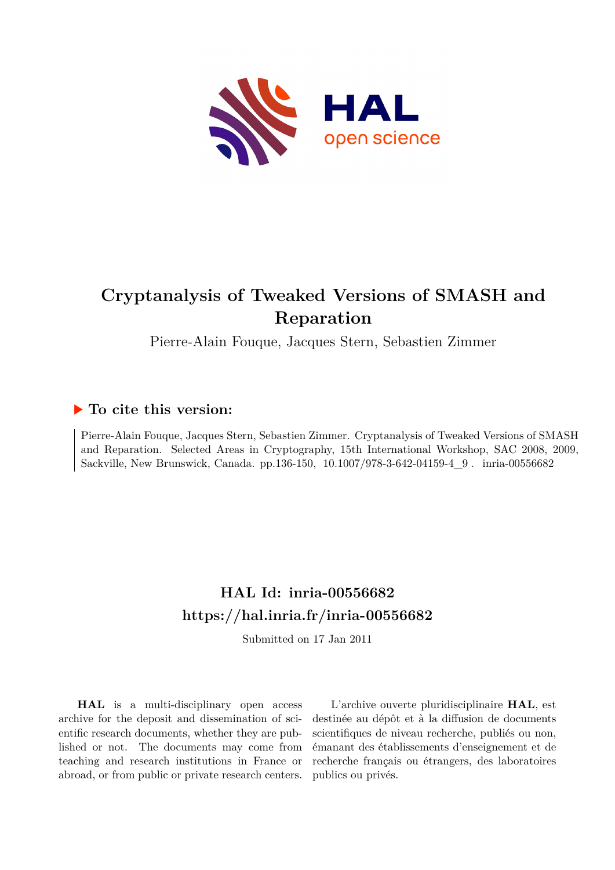

# **Cryptanalysis of Tweaked Versions of SMASH and Reparation**

Pierre-Alain Fouque, Jacques Stern, Sebastien Zimmer

# **To cite this version:**

Pierre-Alain Fouque, Jacques Stern, Sebastien Zimmer. Cryptanalysis of Tweaked Versions of SMASH and Reparation. Selected Areas in Cryptography, 15th International Workshop, SAC 2008, 2009, Sackville, New Brunswick, Canada. pp.136-150, 10.1007/978-3-642-04159-4\_9. inria-00556682

# **HAL Id: inria-00556682 <https://hal.inria.fr/inria-00556682>**

Submitted on 17 Jan 2011

**HAL** is a multi-disciplinary open access archive for the deposit and dissemination of scientific research documents, whether they are published or not. The documents may come from teaching and research institutions in France or abroad, or from public or private research centers.

L'archive ouverte pluridisciplinaire **HAL**, est destinée au dépôt et à la diffusion de documents scientifiques de niveau recherche, publiés ou non, émanant des établissements d'enseignement et de recherche français ou étrangers, des laboratoires publics ou privés.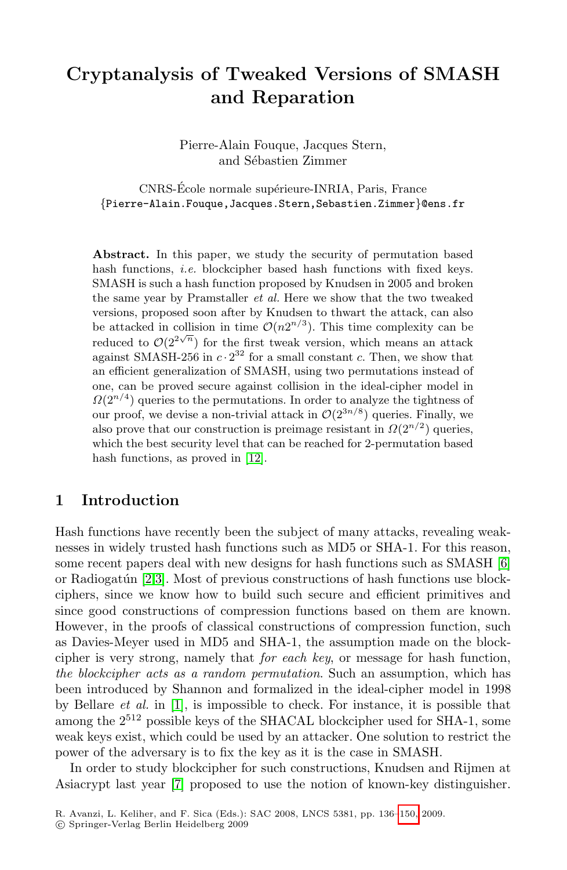# **Cryptanalysis of Tweaked Versions of SMASH and Reparation**

Pierre-Alain Fouque, Jacques Stern, and Sébastien Zimmer

CNRS-École normale supérieure-INRIA, Paris, France {Pierre-Alain.Fouque,Jacques.Stern,Sebastien.Zimmer}@ens.fr

Abstract. In this paper, we study the security of permutation based hash functions, *i.e.* blockcipher based hash functions with fixed keys. SMASH is such a hash function proposed by Knudsen in 2005 and broken the same year by Pramstaller *et al.* Here we show that the two tweaked versions, proposed soon after by Knudsen to thwart the attack, can also be attacked in collision in time  $\mathcal{O}(n2^{n/3})$ . This time complexity can be reduced to  $\mathcal{O}(2^{2\sqrt{n}})$  for the first tweak version, which means an attack against SMASH-256 in  $c \cdot 2^{32}$  for a small constant c. Then, we show that an efficient generalization of SMASH, using two permutations instead of one, can be proved secure against collision in the ideal-cipher model in  $\Omega(2^{n/4})$  queries to the permutations. In order to analyze the tightness of our proof, we devise a non-trivial attack in  $\mathcal{O}(2^{3n/8})$  queries. Finally, we also prove that our construction is preimage resistant in  $\Omega(2^{n/2})$  queries, which the best security level that can be reached for 2-permutation based hash functions, as proved in [12].

# **1 Introduction**

Hash functions have recently been the subject of many attacks, revealing weaknesses in widely trusted hash functions such as MD5 or SHA-1. For this reason, some recent papers deal with new designs for hash functions such as SMASH [6] or Radiogatún  $[2,3]$ . Most of previous constructions of hash functions use blockciphers, since we know how to build such secure and efficient primitives and since good constructions of compression functions based on them are known. However, in the proofs of classical constructions of compression function, such as Davies-Meyer used in MD5 and SHA-1, the assumption made on the blockcipher is very strong, namely that *for each key*, or message for hash function, *the blockcipher acts as a random permutation*. Such an assumption, which has been introduced by Shannon and formalized in the ideal-cipher model in 1998 by Bellare *et al.* in [1], is impossible to check. For instance, it is possible that among the  $2^{512}$  possible keys of the SHACAL blockcipher used for SHA-1, some weak keys exist, which could be used by an attacker. One solution to restrict the power of the adversary is to fix the key as it is the case in SMASH.

In order to study blockcipher for such constructions, Knudsen and Rijmen at Asiacrypt last year [7] proposed to use the notion of known-key distinguisher.

R. Avanzi, L. Keliher, and F. Sica (Eds.): SAC 2008, LNCS 5381, pp. 136[–150,](#page-15-0) 2009.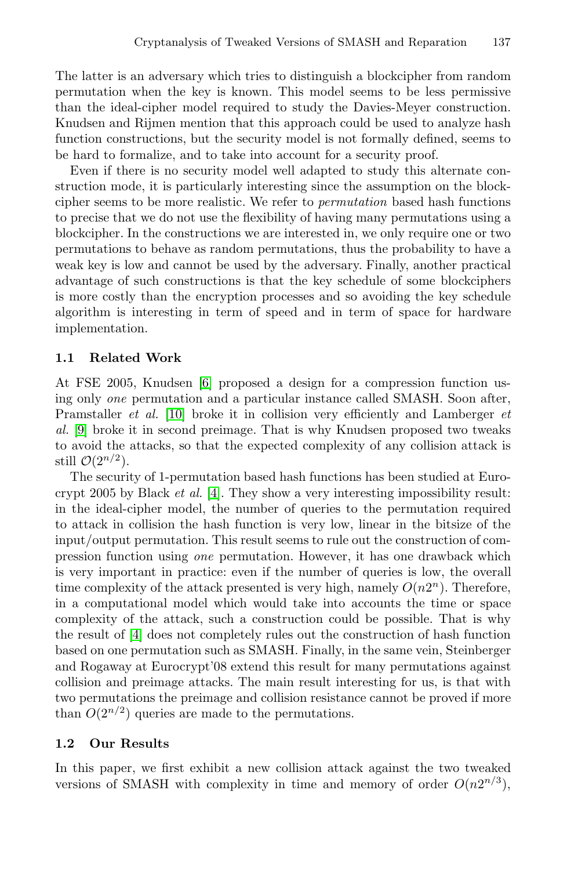The latter is an adversary which tries to distinguish a blockcipher from random permutation when the key is known. This model seems to be less permissive than the ideal-cipher model required to study the Davies-Meyer construction. Knudsen and Rijmen mention that this approach could be used to analyze hash function constructions, but the security model is not formally defined, seems to be hard to formalize, and to take into account for a security proof.

Even if there is no security model well adapted to study this alternate construction mode, it is particularly interesting since the assumption on the blockcipher seems to be more realistic. We refer to *permutation* based hash functions to precise that we do not use the flexibility of having many permutations using a blockcipher. In the constructions we are interested in, we only require one or two permutations to behave as random permutations, thus the probability to have a weak key is low and cannot be used by the adversary. Finally, another practical advantage of such constructions is that the key schedule of some blockciphers is more costly than the encryption processes and so avoiding the key schedule algorithm is interesting in term of speed and in term of space for hardware implementation.

# **1.1 Related Work**

At FSE 2005, Knudsen [6] proposed a design for a compression function using only *one* permutation and a particular instance called SMASH. Soon after, Pramstaller *et al.* [10] broke it in collision very efficiently and Lamberger *et al.* [9] broke it in second preimage. That is why Knudsen proposed two tweaks to avoid the attacks, so that the expected complexity of any collision attack is still  $\mathcal{O}(2^{n/2})$ .

The security of 1-permutation based hash functions has been studied at Eurocrypt 2005 by Black *et al.* [4]. They show a very interesting impossibility result: in the ideal-cipher model, the number of queries to the permutation required to attack in collision the hash function is very low, linear in the bitsize of the input/output permutation. This result seems to rule out the construction of compression function using *one* permutation. However, it has one drawback which is very important in practice: even if the number of queries is low, the overall time complexity of the attack presented is very high, namely  $O(n2<sup>n</sup>)$ . Therefore, in a computational model which would take into accounts the time or space complexity of the attack, such a construction could be possible. That is why the result of [4] does not completely rules out the construction of hash function based on one permutation such as SMASH. Finally, in the same vein, Steinberger and Rogaway at Eurocrypt'08 extend this result for many permutations against collision and preimage attacks. The main result interesting for us, is that with two permutations the preimage and collision resistance cannot be proved if more than  $O(2^{n/2})$  queries are made to the permutations.

# **1.2 Our Results**

In this paper, we first exhibit a new collision attack against the two tweaked versions of SMASH with complexity in time and memory of order  $O(n2^{n/3})$ ,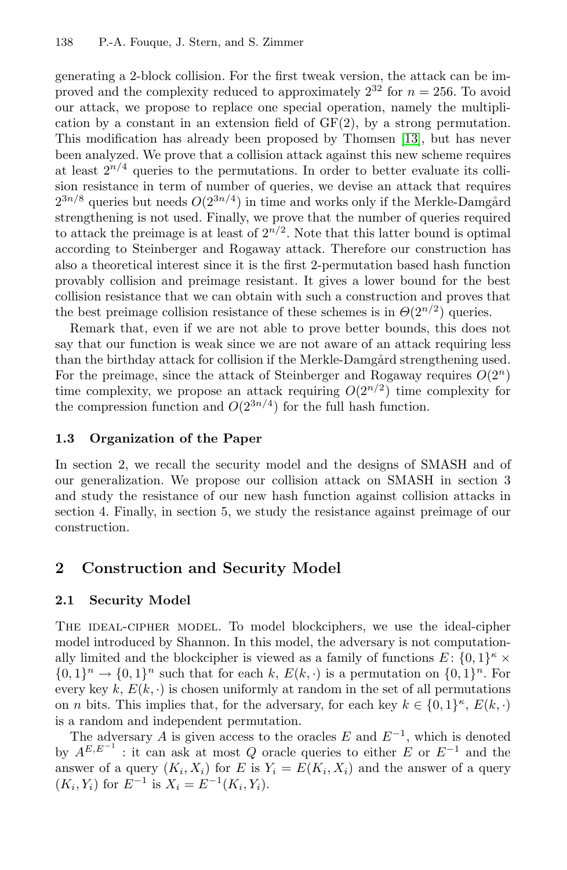generating a 2-block collision. For the first tweak version, the attack can be improved and the complexity reduced to approximately  $2^{32}$  for  $n = 256$ . To avoid our attack, we propose to replace one special operation, namely the multiplication by a constant in an extension field of  $GF(2)$ , by a strong permutation. This modification has already been proposed by Thomsen [13], but has never been analyzed. We prove that a collision attack against this new scheme requires at least  $2^{n/4}$  queries to the permutations. In order to better evaluate its collision resistance in term of number of queries, we devise an attack that requires  $2^{3n/8}$  queries but needs  $O(2^{3n/4})$  in time and works only if the Merkle-Damgård strengthening is not used. Finally, we prove that the number of queries required to attack the preimage is at least of  $2^{n/2}$ . Note that this latter bound is optimal according to Steinberger and Rogaway attack. Therefore our construction has also a theoretical interest since it is the first 2-permutation based hash function provably collision and preimage resistant. It gives a lower bound for the best collision resistance that we can obtain with such a construction and proves that the best preimage collision resistance of these schemes is in  $\Theta(2^{n/2})$  queries.

Remark that, even if we are not able to prove better bounds, this does not say that our function is weak since we are not aware of an attack requiring less than the birthday attack for collision if the Merkle-Damgård strengthening used. For the preimage, since the attack of Steinberger and Rogaway requires  $O(2^n)$ time complexity, we propose an attack requiring  $O(2^{n/2})$  time complexity for the compression function and  $O(2^{3n/4})$  for the full hash function.

## **1.3 Organization of the Paper**

In section 2, we recall the security model and the designs of SMASH and of our generalization. We propose our collision attack on SMASH in section 3 and study the resistance of our new hash function against collision attacks in section 4. Finally, in section 5, we study the resistance against preimage of our construction.

# **2 Construction and Security Model**

# **2.1 Security Model**

The ideal-cipher model. To model blockciphers, we use the ideal-cipher model introduced by Shannon. In this model, the adversary is not computationally limited and the blockcipher is viewed as a family of functions  $E: \{0,1\}^{\kappa} \times$  $\{0,1\}^n \to \{0,1\}^n$  such that for each k,  $E(k, \cdot)$  is a permutation on  $\{0,1\}^n$ . For every key k,  $E(k, \cdot)$  is chosen uniformly at random in the set of all permutations on *n* bits. This implies that, for the adversary, for each key  $k \in \{0,1\}^{\kappa}, E(k, \cdot)$ is a random and independent permutation.

The adversary A is given access to the oracles E and  $E^{-1}$ , which is denoted by  $A^{E,E^{-1}}$ : it can ask at most Q oracle queries to either E or  $E^{-1}$  and the answer of a query  $(K_i, X_i)$  for E is  $Y_i = E(K_i, X_i)$  and the answer of a query  $(K_i, Y_i)$  for  $E^{-1}$  is  $X_i = E^{-1}(K_i, Y_i)$ .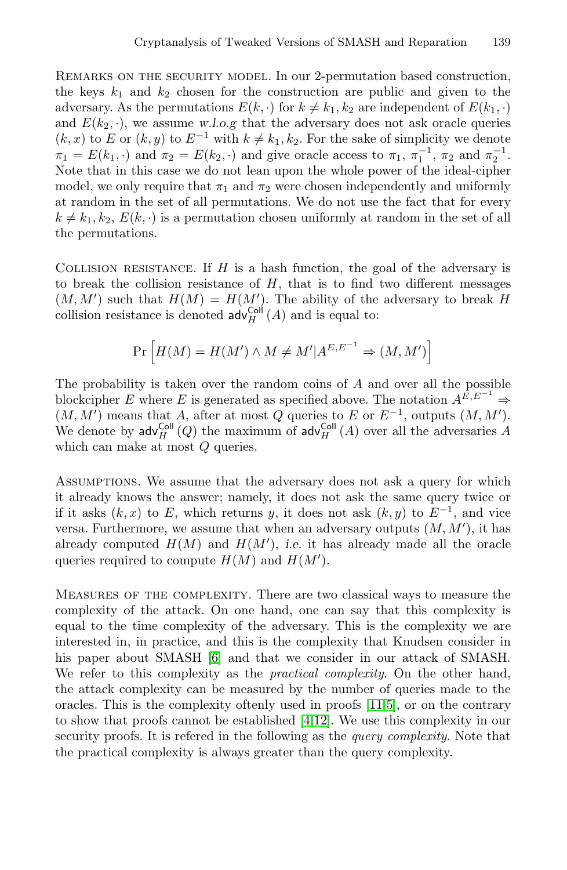REMARKS ON THE SECURITY MODEL. In our 2-permutation based construction, the keys  $k_1$  and  $k_2$  chosen for the construction are public and given to the adversary. As the permutations  $E(k, \cdot)$  for  $k \neq k_1, k_2$  are independent of  $E(k_1, \cdot)$ and  $E(k_2, \cdot)$ , we assume w.l.o.g that the adversary does not ask oracle queries  $(k, x)$  to E or  $(k, y)$  to  $E^{-1}$  with  $k \neq k_1, k_2$ . For the sake of simplicity we denote  $\pi_1 = E(k_1, \cdot)$  and  $\pi_2 = E(k_2, \cdot)$  and give oracle access to  $\pi_1, \pi_1^{-1}, \pi_2$  and  $\pi_2^{-1}$ . Note that in this case we do not lean upon the whole power of the ideal-cipher model, we only require that  $\pi_1$  and  $\pi_2$  were chosen independently and uniformly at random in the set of all permutations. We do not use the fact that for every  $k \neq k_1, k_2, E(k, \cdot)$  is a permutation chosen uniformly at random in the set of all the permutations.

COLLISION RESISTANCE. If  $H$  is a hash function, the goal of the adversary is to break the collision resistance of  $H$ , that is to find two different messages  $(M, M')$  such that  $H(M) = H(M')$ . The ability of the adversary to break H collision resistance is denoted  $\mathsf{adv}_{H}^{\mathsf{Coll}}(A)$  and is equal to:

$$
\Pr\left[H(M) = H(M') \land M \neq M' | A^{E,E^{-1}} \Rightarrow (M, M')\right]
$$

The probability is taken over the random coins of A and over all the possible blockcipher E where E is generated as specified above. The notation  $A^{\tilde{E}, E^{-1}} \Rightarrow$  $(M, M')$  means that A, after at most Q queries to E or  $E^{-1}$ , outputs  $(M, M')$ . We denote by  $\mathsf{adv}^{\mathsf{Coll}}_H(Q)$  the maximum of  $\mathsf{adv}^{\mathsf{Coll}}_H(A)$  over all the adversaries A which can make at most  $Q$  queries.

Assumptions. We assume that the adversary does not ask a query for which it already knows the answer; namely, it does not ask the same query twice or if it asks  $(k, x)$  to E, which returns y, it does not ask  $(k, y)$  to  $E^{-1}$ , and vice versa. Furthermore, we assume that when an adversary outputs  $(M, M')$ , it has already computed  $H(M)$  and  $H(M')$ , *i.e.* it has already made all the oracle queries required to compute  $H(M)$  and  $H(M')$ queries required to compute  $H(M)$  and  $H(M')$ .

Measures of the complexity. There are two classical ways to measure the complexity of the attack. On one hand, one can say that this complexity is equal to the time complexity of the adversary. This is the complexity we are interested in, in practice, and this is the complexity that Knudsen consider in his paper about SMASH [6] and that we consider in our attack of SMASH. We refer to this complexity as the *practical complexity*. On the other hand, the attack complexity can be measured by the number of queries made to the oracles. This is the complexity oftenly used in proofs [11,5], or on the contrary to show that proofs cannot be established [4,12]. We use this complexity in our security proofs. It is refered in the following as the *query complexity*. Note that the practical complexity is always greater than the query complexity.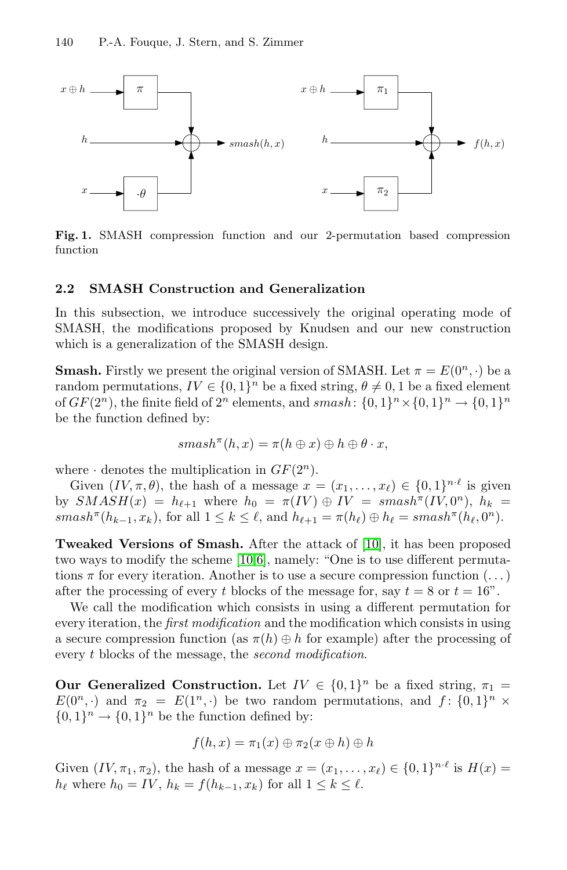

**Fig. 1.** SMASH compression function and our 2-permutation based compression function

### **2.2 SMASH Construction and Generalization**

In this subsection, we introduce successively the original operating mode of SMASH, the modifications proposed by Knudsen and our new construction which is a generalization of the SMASH design.

**Smash.** Firstly we present the original version of SMASH. Let  $\pi = E(0^n, \cdot)$  be a random permutations,  $IV \in \{0,1\}^n$  be a fixed string,  $\theta \neq 0,1$  be a fixed element of  $GF(2^n)$ , the finite field of  $2^n$  elements, and smash:  $\{0,1\}^n \times \{0,1\}^n \rightarrow \{0,1\}^n$ be the function defined by:

$$
smash^{\pi}(h,x) = \pi(h \oplus x) \oplus h \oplus \theta \cdot x,
$$

where  $\cdot$  denotes the multiplication in  $GF(2^n)$ .

Given  $(IV, \pi, \theta)$ , the hash of a message  $x = (x_1, \ldots, x_\ell) \in \{0, 1\}^{n \cdot \ell}$  is given by  $SMASH(x) = h_{\ell+1}$  where  $h_0 = \pi(IV) \oplus IV = smash^{\pi}(IV, 0^n)$ ,  $h_k =$  $smash^{\pi}(h_{k-1}, x_k)$ , for all  $1 \leq k \leq \ell$ , and  $h_{\ell+1} = \pi(h_{\ell}) \oplus h_{\ell} = smash^{\pi}(h_{\ell}, 0^n)$ .

**Tweaked Versions of Smash.** After the attack of [10], it has been proposed two ways to modify the scheme [10,6], namely: "One is to use different permutations  $\pi$  for every iteration. Another is to use a secure compression function  $(\dots)$ after the processing of every t blocks of the message for, say  $t = 8$  or  $t = 16$ ".

We call the modification which consists in using a different permutation for every iteration, the *first modification* and the modification which consists in using a secure compression function (as  $\pi(h) \oplus h$  for example) after the processing of every t blocks of the message, the *second modification*.

**Our Generalized Construction.** Let  $IV \in \{0,1\}^n$  be a fixed string,  $\pi_1 =$  $E(0^n, \cdot)$  and  $\pi_2 = E(1^n, \cdot)$  be two random permutations, and  $f: \{0, 1\}^n \times$  ${0,1}<sup>n</sup> \rightarrow {0,1}<sup>n</sup>$  be the function defined by:

$$
f(h,x) = \pi_1(x) \oplus \pi_2(x \oplus h) \oplus h
$$

Given  $(IV, \pi_1, \pi_2)$ , the hash of a message  $x = (x_1, \ldots, x_\ell) \in \{0, 1\}^{n \cdot \ell}$  is  $H(x) =$  $h_{\ell}$  where  $h_0 = IV$ ,  $h_k = f(h_{k-1}, x_k)$  for all  $1 \leq k \leq \ell$ .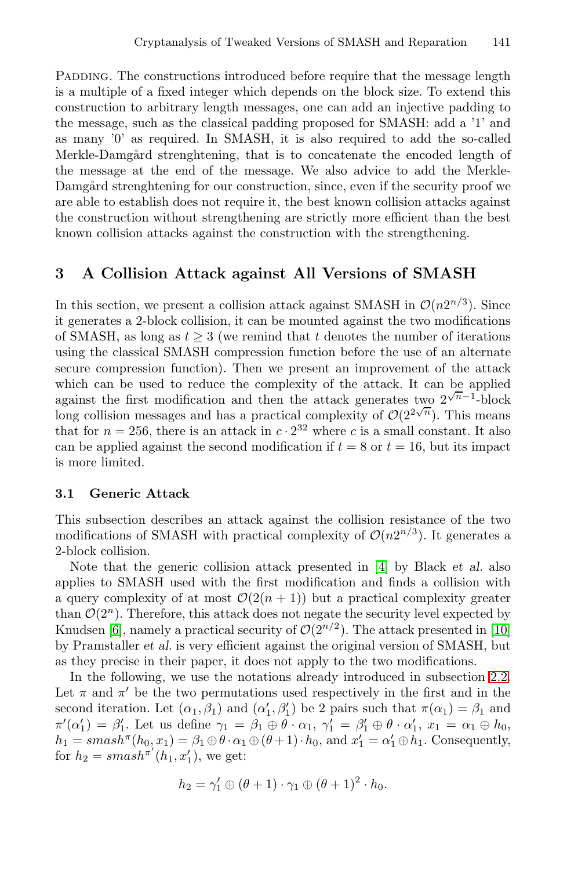PADDING. The constructions introduced before require that the message length is a multiple of a fixed integer which depends on the block size. To extend this construction to arbitrary length messages, one can add an injective padding to the message, such as the classical padding proposed for SMASH: add a '1' and as many '0' as required. In SMASH, it is also required to add the so-called Merkle-Damgård strenghtening, that is to concatenate the encoded length of the message at the end of the message. We also advice to add the Merkle-Damgård strenghtening for our construction, since, even if the security proof we are able to establish does not require it, the best known collision attacks against the construction without strengthening are strictly more efficient than the best known collision attacks against the construction with the strengthening.

# **3 A Collision Attack against All Versions of SMASH**

In this section, we present a collision attack against SMASH in  $\mathcal{O}(n2^{n/3})$ . Since it generates a 2-block collision, it can be mounted against the two modifications of SMASH, as long as  $t \geq 3$  (we remind that t denotes the number of iterations using the classical SMASH compression function before the use of an alternate secure compression function). Then we present an improvement of the attack which can be used to reduce the complexity of the attack. It can be applied against the first modification and then the attack generates two  $2^{\sqrt{n}-1}$ -block long collision messages and has a practical complexity of  $\mathcal{O}(2^{2\sqrt{n}})$ . This means that for  $n = 256$ , there is an attack in  $c \cdot 2^{32}$  where c is a small constant. It also can be applied against the second modification if  $t = 8$  or  $t = 16$ , but its impact is more limited.

#### **3.1 Generic Attack**

This subsection describes an attack against the collision resistance of the two modifications of SMASH with practical complexity of  $\mathcal{O}(n2^{n/3})$ . It generates a 2-block collision.

Note that the generic collision attack presented in [4] by Black *et al.* also applies to SMASH used with the first modification and finds a collision with a query complexity of at most  $\mathcal{O}(2(n+1))$  but a practical complexity greater than  $\mathcal{O}(2^n)$ . Therefore, this attack does not negate the security level expected by Knudsen [6], namely a practical security of  $\mathcal{O}(2^{n/2})$ . The attack presented in [10] by Pramstaller *et al.* is very efficient against the original version of SMASH, but as they precise in their paper, it does not apply to the two modifications.

In the following, we use the notations already introduced in subsection 2.2. Let  $\pi$  and  $\pi'$  be the two permutations used respectively in the first and in the second iteration. Let  $(\alpha_1, \beta_1)$  and  $(\alpha'_1, \beta'_1)$  be 2 pairs such that  $\pi(\alpha_1) = \beta_1$  and  $\pi'(\alpha'_1) = \beta'_1$ . Let us define  $\gamma_1 = \beta_1 \oplus \theta \cdot \alpha_1$ ,  $\gamma'_1 = \beta'_1 \oplus \theta \cdot \alpha'_1$ ,  $x_1 = \alpha_1 \oplus h_0$ ,  $h_1 = smash^{\pi}(h_0, x_1) = \beta_1 \oplus \theta \cdot \alpha_1 \oplus (\theta + 1) \cdot h_0$ , and  $x'_1 = \alpha'_1 \oplus h_1$ . Consequently, for  $h_2 = smash^{\pi'}(h_1, x_1'),$  we get:

$$
h_2 = \gamma_1' \oplus (\theta + 1) \cdot \gamma_1 \oplus (\theta + 1)^2 \cdot h_0.
$$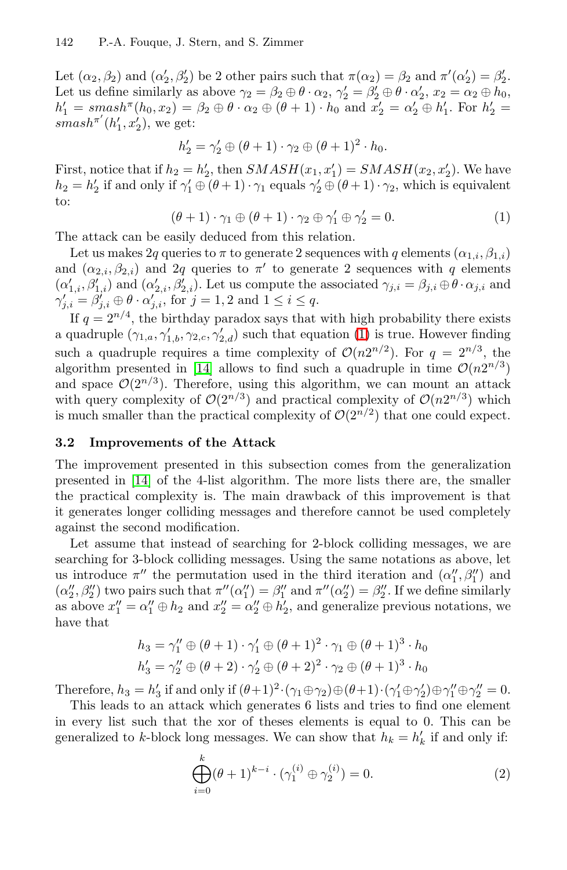Let  $(\alpha_2, \beta_2)$  and  $(\alpha'_2, \beta'_2)$  be 2 other pairs such that  $\pi(\alpha_2) = \beta_2$  and  $\pi'(\alpha'_2) = \beta'_2$ . Let us define similarly as above  $\gamma_2 = \beta_2 \oplus \theta \cdot \alpha_2$ ,  $\gamma_2' = \beta_2' \oplus \theta \cdot \alpha_2'$ ,  $x_2 = \alpha_2 \oplus h_0$ ,  $h'_1 = smash^{\pi}(h_0, x_2) = \beta_2 \oplus \theta \cdot \alpha_2 \oplus (\theta + 1) \cdot h_0$  and  $x'_2 = \alpha'_2 \oplus h'_1$ . For  $h'_2 =$  $smash^{\pi'}(h'_1, x'_2),$  we get:

$$
h'_2 = \gamma'_2 \oplus (\theta + 1) \cdot \gamma_2 \oplus (\theta + 1)^2 \cdot h_0.
$$

First, notice that if  $h_2 = h'_2$ , then  $SMASH(x_1, x'_1) = SMASH(x_2, x'_2)$ . We have  $h_2 = h'_2$  if and only if  $\gamma'_1 \oplus (\theta + 1) \cdot \gamma_1$  equals  $\gamma'_2 \oplus (\theta + 1) \cdot \gamma_2$ , which is equivalent to:

$$
(\theta + 1) \cdot \gamma_1 \oplus (\theta + 1) \cdot \gamma_2 \oplus \gamma_1' \oplus \gamma_2' = 0. \tag{1}
$$

The attack can be easily deduced from this relation.

Let us makes 2q queries to  $\pi$  to generate 2 sequences with q elements  $(\alpha_{1,i}, \beta_{1,i})$ and  $(\alpha_{2,i}, \beta_{2,i})$  and  $2q$  queries to  $\pi'$  to generate 2 sequences with q elements  $(\alpha'_{1,i}, \beta'_{1,i})$  and  $(\alpha'_{2,i}, \beta'_{2,i})$ . Let us compute the associated  $\gamma_{j,i} = \beta_{j,i} \oplus \theta \cdot \alpha_{j,i}$  and  $\gamma'_{i,i} = \beta'_{i,i} \oplus \theta \cdot \alpha'_{i,i}$ , for  $j = 1, 2$  and  $1 \leq i \leq q$ .

If  $q = 2^{n/4}$ , the birthday paradox says that with high probability there exists a quadruple  $(\gamma_{1,a}, \gamma'_{1,b}, \gamma_{2,c}, \gamma'_{2,d})$  such that equation (1) is true. However finding such a quadruple requires a time complexity of  $\mathcal{O}(n2^{n/2})$ . For  $q = 2^{n/3}$ , the algorithm presented in [14] allows to find such a quadruple in time  $\mathcal{O}(n2^{n/3})$ and space  $\mathcal{O}(2^{n/3})$ . Therefore, using this algorithm, we can mount an attack with query complexity of  $\mathcal{O}(2^{n/3})$  and practical complexity of  $\mathcal{O}(n2^{n/3})$  which is much smaller than the practical complexity of  $\mathcal{O}(2^{n/2})$  that one could expect.

#### **3.2 Improvements of the Attack**

The improvement presented in this subsection comes from the generalization presented in [14] of the 4-list algorithm. The more lists there are, the smaller the practical complexity is. The main drawback of this improvement is that it generates longer colliding messages and therefore cannot be used completely against the second modification.

Let assume that instead of searching for 2-block colliding messages, we are searching for 3-block colliding messages. Using the same notations as above, let us introduce  $\pi''$  the permutation used in the third iteration and  $(\alpha''_1, \beta''_1)$  and  $(\alpha''_2, \beta''_2)$  two pairs such that  $\pi''(\alpha''_1) = \beta''_1$  and  $\pi''(\alpha''_2) = \beta''_2$ . If we define similarly as above  $x_1'' = \alpha_1'' \oplus h_2$  and  $x_2'' = \alpha_2'' \oplus h_2'$ , and generalize previous notations, we have that

$$
h_3 = \gamma_1'' \oplus (\theta + 1) \cdot \gamma_1' \oplus (\theta + 1)^2 \cdot \gamma_1 \oplus (\theta + 1)^3 \cdot h_0
$$
  

$$
h_3' = \gamma_2'' \oplus (\theta + 2) \cdot \gamma_2' \oplus (\theta + 2)^2 \cdot \gamma_2 \oplus (\theta + 1)^3 \cdot h_0
$$

Therefore,  $h_3 = h'_3$  if and only if  $(\theta + 1)^2 \cdot (\gamma_1 \oplus \gamma_2) \oplus (\theta + 1) \cdot (\gamma'_1 \oplus \gamma'_2) \oplus \gamma''_1 \oplus \gamma''_2 = 0$ .

This leads to an attack which generates 6 lists and tries to find one element in every list such that the xor of theses elements is equal to 0. This can be generalized to k-block long messages. We can show that  $h_k = h'_k$  if and only if:

$$
\bigoplus_{i=0}^{k} (\theta + 1)^{k-i} \cdot (\gamma_1^{(i)} \oplus \gamma_2^{(i)}) = 0.
$$
 (2)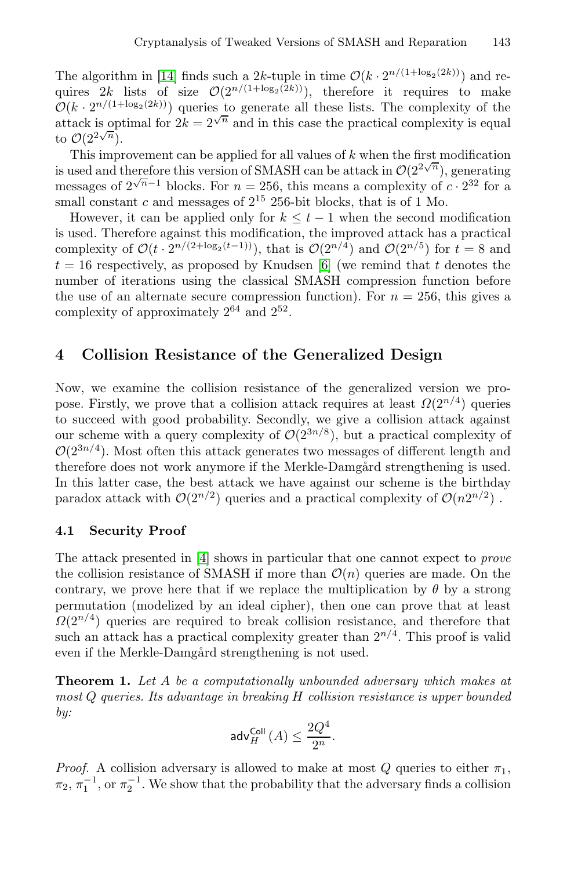The algorithm in [14] finds such a 2k-tuple in time  $\mathcal{O}(k \cdot 2^{n/(1+\log_2(2k))})$  and requires 2k lists of size  $\mathcal{O}(2^{n/(1+\log_2(2k)}))$ , therefore it requires to make  $\mathcal{O}(k \cdot 2^{n/(1+\log_2(2k))})$  queries to generate all these lists. The complexity of the attack is optimal for  $2k = 2^{\sqrt{n}}$  and in this case the practical complexity is equal to  $\mathcal{O}(2^{2\sqrt{n}})$ .

This improvement can be applied for all values of  $k$  when the first modification is used and therefore this version of SMASH can be attack in  $\mathcal{O}(2^{2\sqrt{n}})$ , generating messages of  $2^{\sqrt{n}-1}$  blocks. For  $n = 256$ , this means a complexity of  $c \cdot 2^{32}$  for a small constant c and messages of  $2^{15}$  256-bit blocks, that is of 1 Mo.

However, it can be applied only for  $k \leq t-1$  when the second modification is used. Therefore against this modification, the improved attack has a practical complexity of  $\mathcal{O}(t \cdot 2^{n/(2+\log_2(t-1))})$ , that is  $\mathcal{O}(2^{n/4})$  and  $\mathcal{O}(2^{n/5})$  for  $t = 8$  and  $t = 16$  respectively, as proposed by Knudsen [6] (we remind that t denotes the number of iterations using the classical SMASH compression function before the use of an alternate secure compression function). For  $n = 256$ , this gives a complexity of approximately 2<sup>64</sup> and 2<sup>52</sup>.

# **4 Collision Resistance of the Generalized Design**

Now, we examine the collision resistance of the generalized version we propose. Firstly, we prove that a collision attack requires at least  $\Omega(2^{n/4})$  queries to succeed with good probability. Secondly, we give a collision attack against our scheme with a query complexity of  $\mathcal{O}(2^{3n/8})$ , but a practical complexity of  $\mathcal{O}(2^{3n/4})$ . Most often this attack generates two messages of different length and therefore does not work anymore if the Merkle-Damgård strengthening is used. In this latter case, the best attack we have against our scheme is the birthday paradox attack with  $\mathcal{O}(2^{n/2})$  queries and a practical complexity of  $\mathcal{O}(n2^{n/2})$ .

#### **4.1 Security Proof**

The attack presented in [4] shows in particular that one cannot expect to *prove* the collision resistance of SMASH if more than  $\mathcal{O}(n)$  queries are made. On the contrary, we prove here that if we replace the multiplication by  $\theta$  by a strong permutation (modelized by an ideal cipher), then one can prove that at least  $\Omega(2^{n/4})$  queries are required to break collision resistance, and therefore that such an attack has a practical complexity greater than  $2^{n/4}$ . This proof is valid even if the Merkle-Damgård strengthening is not used.

**Theorem 1.** *Let* A *be a computationally unbounded adversary which makes at most* Q *queries. Its advantage in breaking* H *collision resistance is upper bounded by:*

$$
\mathsf{adv}^{\mathsf{Coll}}_H\left(A\right) \leq \frac{2Q^4}{2^n}.
$$

*Proof.* A collision adversary is allowed to make at most Q queries to either  $\pi_1$ ,  $\pi_2, \pi_1^{-1}$ , or  $\pi_2^{-1}$ . We show that the probability that the adversary finds a collision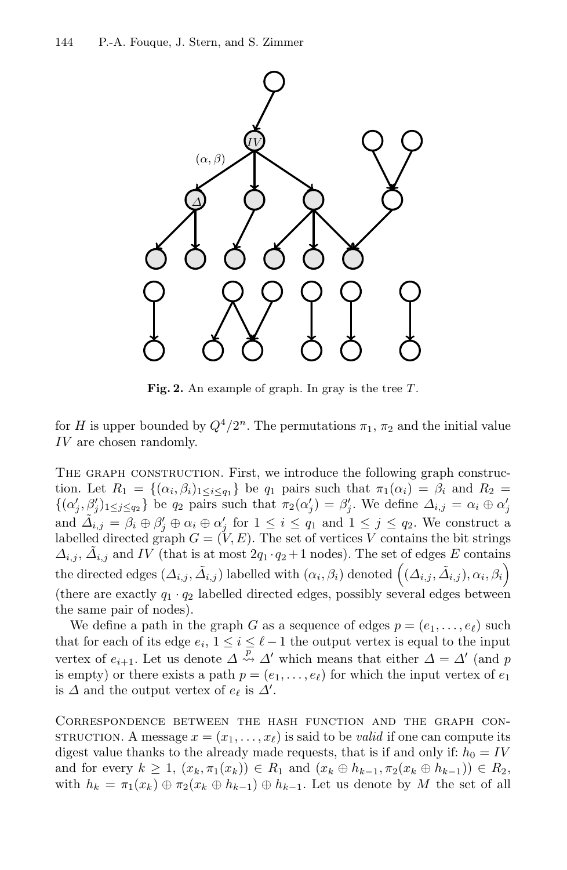

**Fig. 2.** An example of graph. In gray is the tree <sup>T</sup>.

for H is upper bounded by  $Q^4/2^n$ . The permutations  $\pi_1$ ,  $\pi_2$  and the initial value IV are chosen randomly.

THE GRAPH CONSTRUCTION. First, we introduce the following graph construction. Let  $R_1 = \{(\alpha_i, \beta_i)_{1 \leq i \leq q_1}\}$  be  $q_1$  pairs such that  $\pi_1(\alpha_i) = \beta_i$  and  $R_2 =$  $\{(\alpha'_j, \beta'_j)_{1 \leq j \leq q_2}\}\$ be  $q_2$  pairs such that  $\pi_2(\alpha'_j) = \beta'_j$ . We define  $\Delta_{i,j} = \alpha_i \oplus \alpha'_j$ and  $\tilde{\Delta}_{i,j} = \beta_i \oplus \beta'_j \oplus \alpha_i \oplus \alpha'_j$  for  $1 \leq i \leq q_1$  and  $1 \leq j \leq q_2$ . We construct a labelled directed graph  $G = (V, E)$ . The set of vertices V contains the bit strings  $\Delta_{i,j}, \Delta_{i,j}$  and IV (that is at most  $2q_1 \cdot q_2 + 1$  nodes). The set of edges E contains the directed edges  $(\Delta_{i,j}, \tilde{\Delta}_{i,j})$  labelled with  $(\alpha_i, \beta_i)$  denoted  $((\Delta_{i,j}, \tilde{\Delta}_{i,j}), \alpha_i, \beta_i)$ (there are exactly  $q_1 \cdot q_2$  labelled directed edges, possibly several edges between the same pair of nodes).

We define a path in the graph G as a sequence of edges  $p = (e_1, \ldots, e_\ell)$  such that for each of its edge  $e_i$ ,  $1 \leq i \leq \ell - 1$  the output vertex is equal to the input vertex of  $e_{i+1}$ . Let us denote  $\Delta \stackrel{p}{\leadsto} \Delta'$  which means that either  $\Delta = \Delta'$  (and p is empty) or there exists a path  $p = (e_1, \ldots, e_\ell)$  for which the input vertex of  $e_1$ is  $\Delta$  and the output vertex of  $e_{\ell}$  is  $\Delta'$ .

Correspondence between the hash function and the graph con-STRUCTION. A message  $x = (x_1, \ldots, x_\ell)$  is said to be *valid* if one can compute its digest value thanks to the already made requests, that is if and only if:  $h_0 = IV$ and for every  $k \ge 1$ ,  $(x_k, \pi_1(x_k)) \in R_1$  and  $(x_k \oplus h_{k-1}, \pi_2(x_k \oplus h_{k-1})) \in R_2$ , with  $h_k = \pi_1(x_k) \oplus \pi_2(x_k \oplus h_{k-1}) \oplus h_{k-1}$ . Let us denote by M the set of all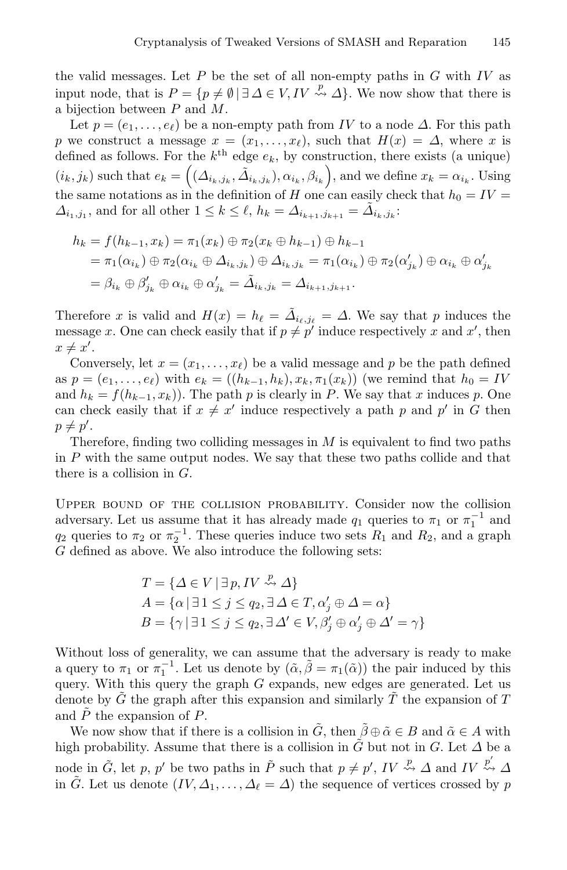the valid messages. Let  $P$  be the set of all non-empty paths in  $G$  with  $IV$  as input node, that is  $P = \{p \neq \emptyset | \exists \Delta \in V, IV \stackrel{p}{\leadsto} \Delta\}$ . We now show that there is a bijection between P and M.

Let  $p = (e_1, \ldots, e_\ell)$  be a non-empty path from IV to a node  $\Delta$ . For this path p we construct a message  $x = (x_1, \ldots, x_\ell)$ , such that  $H(x) = \Delta$ , where x is defined as follows. For the  $k^{\text{th}}$  edge  $e_k$ , by construction, there exists (a unique)  $(i_k, j_k)$  such that  $e_k = ((\Delta_{i_k, j_k}, \tilde{\Delta}_{i_k, j_k}), \alpha_{i_k}, \beta_{i_k}),$  and we define  $x_k = \alpha_{i_k}$ . Using the same notations as in the definition of H one can easily check that  $h_0 = IV =$  $\Delta_{i_1,j_1}$ , and for all other  $1 \leq k \leq \ell$ ,  $h_k = \Delta_{i_{k+1},j_{k+1}} = \tilde{\Delta}_{i_k,j_k}$ :

$$
h_k = f(h_{k-1}, x_k) = \pi_1(x_k) \oplus \pi_2(x_k \oplus h_{k-1}) \oplus h_{k-1}
$$
  
=  $\pi_1(\alpha_{i_k}) \oplus \pi_2(\alpha_{i_k} \oplus \Delta_{i_k, j_k}) \oplus \Delta_{i_k, j_k} = \pi_1(\alpha_{i_k}) \oplus \pi_2(\alpha'_{j_k}) \oplus \alpha_{i_k} \oplus \alpha'_{j_k}$   
=  $\beta_{i_k} \oplus \beta'_{j_k} \oplus \alpha_{i_k} \oplus \alpha'_{j_k} = \tilde{\Delta}_{i_k, j_k} = \Delta_{i_{k+1}, j_{k+1}}.$ 

Therefore x is valid and  $H(x) = h_{\ell} = \tilde{\Delta}_{i_{\ell},j_{\ell}} = \Delta$ . We say that p induces the message x. One can check easily that if  $p \neq p'$  induce respectively x and x', then  $x \neq x'.$ 

Conversely, let  $x = (x_1, \ldots, x_\ell)$  be a valid message and p be the path defined as  $p = (e_1, ..., e_\ell)$  with  $e_k = ((h_{k-1}, h_k), x_k, \pi_1(x_k))$  (we remind that  $h_0 = IV$ and  $h_k = f(h_{k-1}, x_k)$ . The path p is clearly in P. We say that x induces p. One can check easily that if  $x \neq x'$  induce respectively a path p and p' in G then  $p \neq p'$ .

Therefore, finding two colliding messages in  $M$  is equivalent to find two paths in P with the same output nodes. We say that these two paths collide and that there is a collision in  $G$ .

Upper bound of the collision probability. Consider now the collision adversary. Let us assume that it has already made  $q_1$  queries to  $\pi_1$  or  $\pi_1^{-1}$  and  $q_2$  queries to  $\pi_2$  or  $\pi_2^{-1}$ . These queries induce two sets  $R_1$  and  $R_2$ , and a graph G defined as above. We also introduce the following sets:

$$
T = \{ \Delta \in V \mid \exists p, IV \stackrel{p}{\leadsto} \Delta \}
$$
  
\n
$$
A = \{ \alpha \mid \exists 1 \le j \le q_2, \exists \Delta \in T, \alpha'_j \oplus \Delta = \alpha \}
$$
  
\n
$$
B = \{ \gamma \mid \exists 1 \le j \le q_2, \exists \Delta' \in V, \beta'_j \oplus \alpha'_j \oplus \Delta' = \gamma \}
$$

Without loss of generality, we can assume that the adversary is ready to make a query to  $\pi_1$  or  $\pi_1^{-1}$ . Let us denote by  $(\tilde{\alpha}, \tilde{\beta} = \pi_1(\tilde{\alpha}))$  the pair induced by this query. With this query the graph  $G$  expands, new edges are generated. Let us denote by  $\tilde{G}$  the graph after this expansion and similarly  $\tilde{T}$  the expansion of  $T$ and  $\ddot{P}$  the expansion of  $P$ .

We now show that if there is a collision in  $\tilde{G}$ , then  $\beta \oplus \tilde{\alpha} \in B$  and  $\tilde{\alpha} \in A$  with high probability. Assume that there is a collision in  $\tilde{G}$  but not in G. Let  $\Delta$  be a node in  $\tilde{G}$ , let p, p' be two paths in  $\tilde{P}$  such that  $p \neq p'$ ,  $IV \stackrel{p}{\leadsto} \Delta$  and  $IV \stackrel{p'}{\leadsto} \Delta$ in  $\tilde{G}$ . Let us denote  $(IV, \Delta_1, \ldots, \Delta_\ell = \Delta)$  the sequence of vertices crossed by p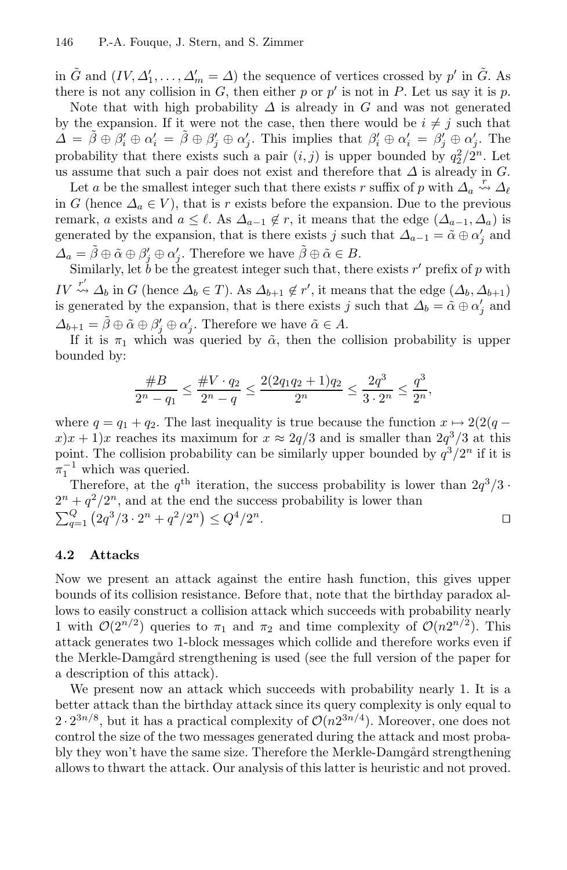in  $\tilde{G}$  and  $(IV, \Delta'_1, \ldots, \Delta'_m = \Delta)$  the sequence of vertices crossed by  $p'$  in  $\tilde{G}$ . As there is not any collision in  $G$ , then either p or p' is not in P. Let us say it is p.

Note that with high probability  $\Delta$  is already in G and was not generated by the expansion. If it were not the case, then there would be  $i \neq j$  such that  $\Delta = \tilde{\beta} \oplus \beta'_i \oplus \alpha'_i = \tilde{\beta} \oplus \beta'_i \oplus \alpha'_i$ . This implies that  $\beta'_i \oplus \alpha'_i = \beta'_i \oplus \alpha'_i$ . The probability that there exists such a pair  $(i, j)$  is upper bounded by  $q_2^2/2^n$ . Let us assume that such a pair does not exist and therefore that  $\Delta$  is already in G.

Let a be the smallest integer such that there exists r suffix of p with  $\Delta_a \stackrel{r}{\leadsto} \Delta_\ell$ in G (hence  $\Delta_a \in V$ ), that is r exists before the expansion. Due to the previous remark, a exists and  $a \leq \ell$ . As  $\Delta_{a-1} \notin r$ , it means that the edge  $(\Delta_{a-1}, \Delta_a)$  is generated by the expansion, that is there exists j such that  $\Delta_{a-1} = \tilde{\alpha} \oplus \alpha'_i$  and  $\Delta_a = \tilde{\beta} \oplus \tilde{\alpha} \oplus \beta'_i \oplus \alpha'_i$ . Therefore we have  $\tilde{\beta} \oplus \tilde{\alpha} \in B$ .

Similarly, let  $\check{b}$  be the greatest integer such that, there exists r' prefix of p with IV  $\stackrel{r'}{\rightsquigarrow} \Delta_b$  in G (hence  $\Delta_b \in T$ ). As  $\Delta_{b+1} \notin r'$ , it means that the edge  $(\Delta_b, \Delta_{b+1})$ is generated by the expansion, that is there exists j such that  $\Delta_b = \tilde{\alpha} \oplus \alpha'_i$  and  $\Delta_{b+1} = \tilde{\beta} \oplus \tilde{\alpha} \oplus \beta'_j \oplus \alpha'_j$ . Therefore we have  $\tilde{\alpha} \in A$ .

If it is  $\pi_1$  which was queried by  $\tilde{\alpha}$ , then the collision probability is upper bounded by:

$$
\frac{\#B}{2^n - q_1} \le \frac{\#V \cdot q_2}{2^n - q} \le \frac{2(2q_1q_2 + 1)q_2}{2^n} \le \frac{2q^3}{3 \cdot 2^n} \le \frac{q^3}{2^n},
$$

where  $q = q_1 + q_2$ . The last inequality is true because the function  $x \mapsto 2(2(q$  $x(x+1)x$  reaches its maximum for  $x \approx 2q/3$  and is smaller than  $2q^3/3$  at this point. The collision probability can be similarly upper bounded by  $q^3/2^n$  if it is  $\pi_1^{-1}$  which was queried.

Therefore, at the  $q^{\text{th}}$  iteration, the success probability is lower than  $2q^3/3$ .  $2^{n} + q^{2}/2^{n}$ , and at the end the success probability is lower than  $\sum_{q=1}^{Q} (2q^3/3 \cdot 2^n + q^2/2^n) \leq Q^4/2^n.$ 

### **4.2 Attacks**

Now we present an attack against the entire hash function, this gives upper bounds of its collision resistance. Before that, note that the birthday paradox allows to easily construct a collision attack which succeeds with probability nearly 1 with  $\mathcal{O}(2^{n/2})$  queries to  $\pi_1$  and  $\pi_2$  and time complexity of  $\mathcal{O}(n2^{n/2})$ . This attack generates two 1-block messages which collide and therefore works even if the Merkle-Damgård strengthening is used (see the full version of the paper for a description of this attack).

We present now an attack which succeeds with probability nearly 1. It is a better attack than the birthday attack since its query complexity is only equal to  $2 \cdot 2^{3n/8}$ , but it has a practical complexity of  $\mathcal{O}(n2^{3n/4})$ . Moreover, one does not control the size of the two messages generated during the attack and most probably they won't have the same size. Therefore the Merkle-Damgård strengthening allows to thwart the attack. Our analysis of this latter is heuristic and not proved.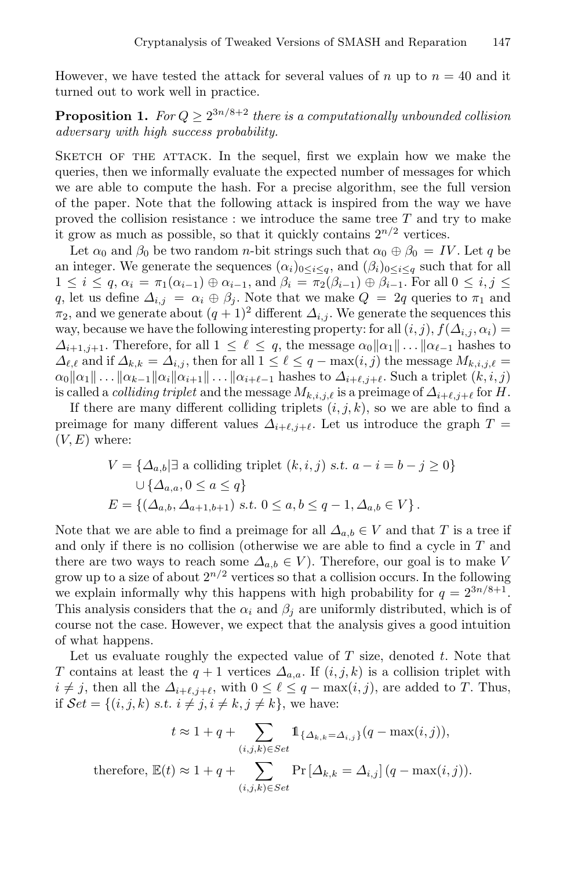However, we have tested the attack for several values of n up to  $n = 40$  and it turned out to work well in practice.

**Proposition 1.** *For*  $Q \geq 2^{3n/8+2}$  *there is a computationally unbounded collision adversary with high success probability.*

SKETCH OF THE ATTACK. In the sequel, first we explain how we make the queries, then we informally evaluate the expected number of messages for which we are able to compute the hash. For a precise algorithm, see the full version of the paper. Note that the following attack is inspired from the way we have proved the collision resistance : we introduce the same tree  $T$  and try to make it grow as much as possible, so that it quickly contains  $2^{n/2}$  vertices.

Let  $\alpha_0$  and  $\beta_0$  be two random *n*-bit strings such that  $\alpha_0 \oplus \beta_0 = IV$ . Let q be an integer. We generate the sequences  $(\alpha_i)_{0 \leq i \leq q}$ , and  $(\beta_i)_{0 \leq i \leq q}$  such that for all  $1 \leq i \leq q$ ,  $\alpha_i = \pi_1(\alpha_{i-1}) \oplus \alpha_{i-1}$ , and  $\beta_i = \pi_2(\beta_{i-1}) \oplus \beta_{i-1}$ . For all  $0 \leq i, j \leq j$ q, let us define  $\Delta_{i,j} = \alpha_i \oplus \beta_j$ . Note that we make  $Q = 2q$  queries to  $\pi_1$  and  $\pi_2$ , and we generate about  $(q + 1)^2$  different  $\Delta_{i,j}$ . We generate the sequences this way, because we have the following interesting property: for all  $(i, j)$ ,  $f(\Delta_{i,j}, \alpha_i) =$  $\Delta_{i+1,j+1}$ . Therefore, for all  $1 \leq \ell \leq q$ , the message  $\alpha_0 || \alpha_1 || \dots || \alpha_{\ell-1}$  hashes to  $\Delta_{\ell,\ell}$  and if  $\Delta_{k,k} = \Delta_{i,j}$ , then for all  $1 \leq \ell \leq q - \max(i,j)$  the message  $M_{k,i,j,\ell} =$  $\alpha_0 \|\alpha_1\| \ldots \|\alpha_{k-1}\|\alpha_i\|\alpha_{i+1}\| \ldots \|\alpha_{i+\ell-1}\|$  hashes to  $\Delta_{i+\ell,j+\ell}$ . Such a triplet  $(k, i, j)$ is called a *colliding triplet* and the message  $M_{k,i,j,\ell}$  is a preimage of  $\Delta_{i+\ell,j+\ell}$  for H.

If there are many different colliding triplets  $(i, j, k)$ , so we are able to find a preimage for many different values  $\Delta_{i+\ell,i+\ell}$ . Let us introduce the graph  $T =$  $(V, E)$  where:

$$
V = \{ \Delta_{a,b} | \exists \text{ a colliding triplet } (k, i, j) \text{ s.t. } a - i = b - j \ge 0 \}
$$
  

$$
\cup \{ \Delta_{a,a}, 0 \le a \le q \}
$$
  

$$
E = \{ (\Delta_{a,b}, \Delta_{a+1,b+1}) \text{ s.t. } 0 \le a, b \le q - 1, \Delta_{a,b} \in V \}.
$$

Note that we are able to find a preimage for all  $\Delta_{a,b} \in V$  and that T is a tree if and only if there is no collision (otherwise we are able to find a cycle in T and there are two ways to reach some  $\Delta_{a,b} \in V$ ). Therefore, our goal is to make V grow up to a size of about  $2^{n/2}$  vertices so that a collision occurs. In the following we explain informally why this happens with high probability for  $q = 2^{3n/8+1}$ . This analysis considers that the  $\alpha_i$  and  $\beta_j$  are uniformly distributed, which is of course not the case. However, we expect that the analysis gives a good intuition of what happens.

Let us evaluate roughly the expected value of  $T$  size, denoted  $t$ . Note that T contains at least the  $q + 1$  vertices  $\Delta_{a,a}$ . If  $(i, j, k)$  is a collision triplet with  $i \neq j$ , then all the  $\Delta_{i+\ell,j+\ell}$ , with  $0 \leq \ell \leq q - \max(i,j)$ , are added to T. Thus, if  $\mathcal{S}et = \{(i, j, k) \text{ s.t. } i \neq j, i \neq k, j \neq k\}$ , we have:

$$
t \approx 1 + q + \sum_{(i,j,k)\in Set} \mathbb{1}_{\{\Delta_{k,k} = \Delta_{i,j}\}}(q - \max(i,j)),
$$
  
therefore,  $\mathbb{E}(t) \approx 1 + q + \sum_{(i,j,k)\in Set} \Pr[\Delta_{k,k} = \Delta_{i,j}] (q - \max(i,j)).$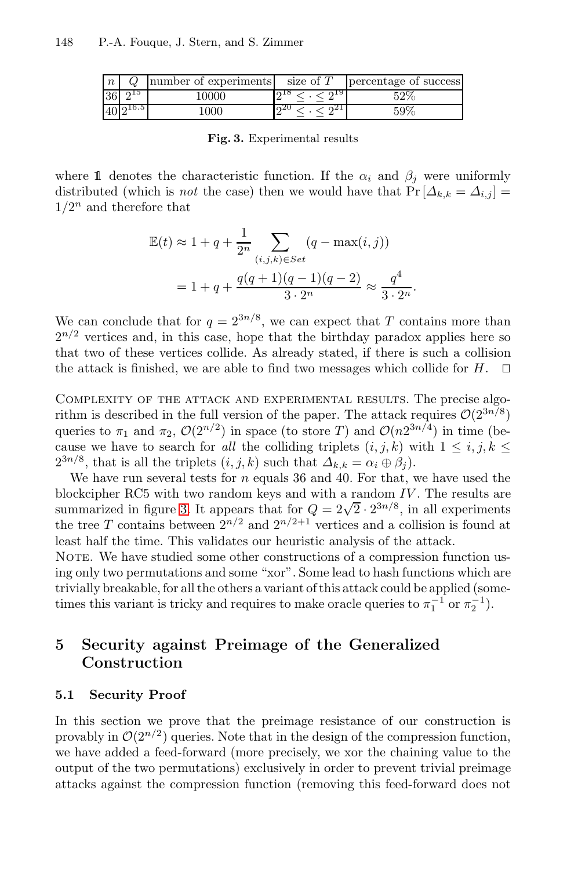| $\overline{n}$ |                | number of experiments size of $T$ |      | percentage of success |
|----------------|----------------|-----------------------------------|------|-----------------------|
|                | $36 \, 2^{15}$ | 10000                             | 010  | 52\%                  |
|                | $40 2^{16.5} $ | .000                              | 0.20 | 59%                   |

**Fig. 3.** Experimental results

where 1 denotes the characteristic function. If the  $\alpha_i$  and  $\beta_j$  were uniformly distributed (which is *not* the case) then we would have that  $Pr[\Delta_{k,k} = \Delta_{i,j}]$  $1/2^n$  and therefore that

$$
\mathbb{E}(t) \approx 1 + q + \frac{1}{2^n} \sum_{(i,j,k) \in Set} (q - \max(i,j))
$$
  
= 1 + q +  $\frac{q(q+1)(q-1)(q-2)}{3 \cdot 2^n} \approx \frac{q^4}{3 \cdot 2^n}.$ 

We can conclude that for  $q = 2^{3n/8}$ , we can expect that T contains more than  $2^{n/2}$  vertices and, in this case, hope that the birthday paradox applies here so that two of these vertices collide. As already stated, if there is such a collision the attack is finished, we are able to find two messages which collide for  $H$ .  $\Box$ 

Complexity of the attack and experimental results. The precise algorithm is described in the full version of the paper. The attack requires  $\mathcal{O}(2^{3n/8})$ queries to  $\pi_1$  and  $\pi_2$ ,  $\mathcal{O}(2^{n/2})$  in space (to store T) and  $\mathcal{O}(n2^{3n/4})$  in time (because we have to search for *all* the colliding triplets  $(i, j, k)$  with  $1 \leq i, j, k \leq$  $2^{3n/8}$ , that is all the triplets  $(i, j, k)$  such that  $\Delta_{k,k} = \alpha_i \oplus \beta_j$ .

We have run several tests for  $n$  equals 36 and 40. For that, we have used the blockcipher RC5 with two random keys and with a random  $IV$ . The results are blockerpher KC3 with two random keys and with a random  $IV$ . The results are summarized in figure 3. It appears that for  $Q = 2\sqrt{2} \cdot 2^{3n/8}$ , in all experiments the tree T contains between  $2^{n/2}$  and  $2^{n/2+1}$  vertices and a collision is found at least half the time. This validates our heuristic analysis of the attack.

NOTE. We have studied some other constructions of a compression function using only two permutations and some "xor". Some lead to hash functions which are trivially breakable, for all the others a variant of this attack could be applied (sometimes this variant is tricky and requires to make oracle queries to  $\pi_1^{-1}$  or  $\pi_2^{-1}$ ).

# **5 Security against Preimage of the Generalized Construction**

#### **5.1 Security Proof**

In this section we prove that the preimage resistance of our construction is provably in  $\mathcal{O}(2^{n/2})$  queries. Note that in the design of the compression function, we have added a feed-forward (more precisely, we xor the chaining value to the output of the two permutations) exclusively in order to prevent trivial preimage attacks against the compression function (removing this feed-forward does not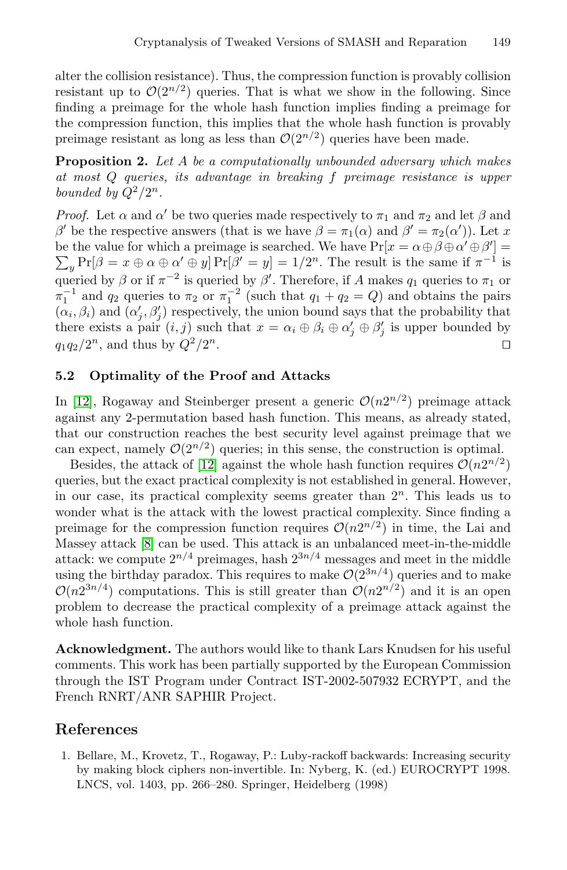alter the collision resistance). Thus, the compression function is provably collision resistant up to  $\mathcal{O}(2^{n/2})$  queries. That is what we show in the following. Since finding a preimage for the whole hash function implies finding a preimage for the compression function, this implies that the whole hash function is provably preimage resistant as long as less than  $\mathcal{O}(2^{n/2})$  queries have been made.

**Proposition 2.** *Let* A *be a computationally unbounded adversary which makes at most* Q *queries, its advantage in breaking* f *preimage resistance is upper bounded by*  $Q^2/2^n$ *.* 

*Proof.* Let  $\alpha$  and  $\alpha'$  be two queries made respectively to  $\pi_1$  and  $\pi_2$  and let  $\beta$  and β' be the respective answers (that is we have  $\beta = \pi_1(\alpha)$  and  $\beta' = \pi_2(\alpha')$ ). Let x be the value for which a preimage is searched. We have  $Pr[x = \alpha \oplus \beta \oplus \alpha' \oplus \beta'] =$  $\sum_{y} \Pr[\beta = x \oplus \alpha \oplus \alpha' \oplus y] \Pr[\beta' = y] = 1/2^n$ . The result is the same if  $\pi^{-1}$  is queried by  $\beta$  or if  $\pi^{-2}$  is queried by  $\beta'$ . Therefore, if A makes  $q_1$  queries to  $\pi_1$  or  $\pi_1^{-1}$  and  $q_2$  queries to  $\pi_2$  or  $\pi_1^{-2}$  (such that  $q_1 + q_2 = Q$ ) and obtains the pairs  $(\alpha_i, \beta_i)$  and  $(\alpha'_i, \beta'_i)$  respectively, the union bound says that the probability that there exists a pair  $(i, j)$  such that  $x = \alpha_i \oplus \beta_i \oplus \alpha'_i \oplus \beta'_i$  is upper bounded by  $q_1q_2/2^n$ , and thus by  $Q^2/2^n$ .

### **5.2 Optimality of the Proof and Attacks**

In [12], Rogaway and Steinberger present a generic  $\mathcal{O}(n2^{n/2})$  preimage attack against any 2-permutation based hash function. This means, as already stated, that our construction reaches the best security level against preimage that we can expect, namely  $\mathcal{O}(2^{n/2})$  queries; in this sense, the construction is optimal.

Besides, the attack of [12] against the whole hash function requires  $\mathcal{O}(n2^{n/2})$ queries, but the exact practical complexity is not established in general. However, in our case, its practical complexity seems greater than  $2<sup>n</sup>$ . This leads us to wonder what is the attack with the lowest practical complexity. Since finding a preimage for the compression function requires  $\mathcal{O}(n2^{n/2})$  in time, the Lai and Massey attack [8] can be used. This attack is an unbalanced meet-in-the-middle attack: we compute  $2^{n/4}$  preimages, hash  $2^{3n/4}$  messages and meet in the middle using the birthday paradox. This requires to make  $\mathcal{O}(2^{3n/4})$  queries and to make  $\mathcal{O}(n2^{3n/4})$  computations. This is still greater than  $\mathcal{O}(n2^{n/2})$  and it is an open problem to decrease the practical complexity of a preimage attack against the whole hash function.

**Acknowledgment.** The authors would like to thank Lars Knudsen for his useful comments. This work has been partially supported by the European Commission through the IST Program under Contract IST-2002-507932 ECRYPT, and the French RNRT/ANR SAPHIR Project.

# **References**

1. Bellare, M., Krovetz, T., Rogaway, P.: Luby-rackoff backwards: Increasing security by making block ciphers non-invertible. In: Nyberg, K. (ed.) EUROCRYPT 1998. LNCS, vol. 1403, pp. 266–280. Springer, Heidelberg (1998)